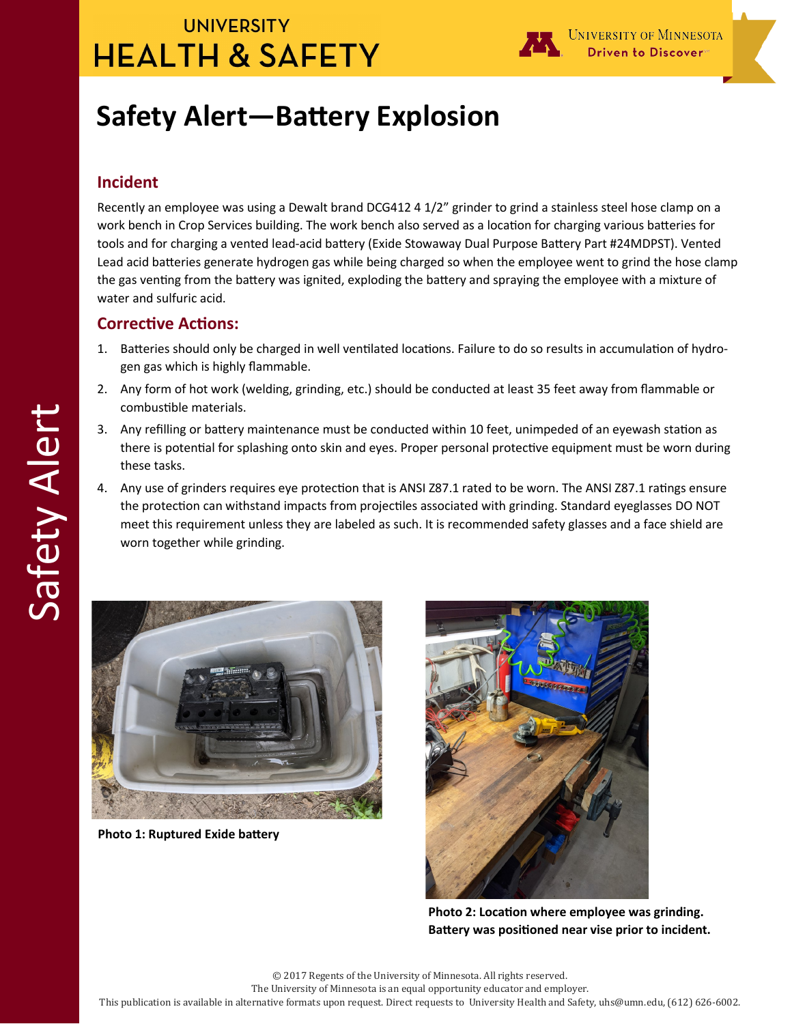## **UNIVERSITY HEALTH & SAFETY**



# **Safety Alert—Battery Explosion**

#### **Incident**

Recently an employee was using a Dewalt brand DCG412 4 1/2" grinder to grind a stainless steel hose clamp on a work bench in Crop Services building. The work bench also served as a location for charging various batteries for tools and for charging a vented lead-acid battery (Exide Stowaway Dual Purpose Battery Part #24MDPST). Vented Lead acid batteries generate hydrogen gas while being charged so when the employee went to grind the hose clamp the gas venting from the battery was ignited, exploding the battery and spraying the employee with a mixture of water and sulfuric acid.

#### **Corrective Actions:**

- 1. Batteries should only be charged in well ventilated locations. Failure to do so results in accumulation of hydrogen gas which is highly flammable.
- 2. Any form of hot work (welding, grinding, etc.) should be conducted at least 35 feet away from flammable or combustible materials.
- 3. Any refilling or battery maintenance must be conducted within 10 feet, unimpeded of an eyewash station as there is potential for splashing onto skin and eyes. Proper personal protective equipment must be worn during these tasks.
- 4. Any use of grinders requires eye protection that is ANSI Z87.1 rated to be worn. The ANSI Z87.1 ratings ensure the protection can withstand impacts from projectiles associated with grinding. Standard eyeglasses DO NOT meet this requirement unless they are labeled as such. It is recommended safety glasses and a face shield are worn together while grinding.



**Photo 1: Ruptured Exide battery**



**Photo 2: Location where employee was grinding. Battery was positioned near vise prior to incident.**